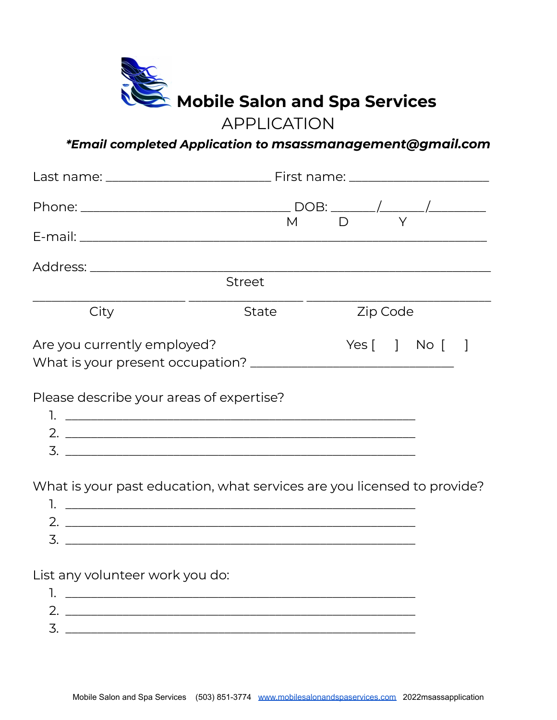

## APPLICATION

## *\*Email completed Application to msassmanagement@gmail.com*

|                                                                         | $M$ D          |  |  |  |
|-------------------------------------------------------------------------|----------------|--|--|--|
|                                                                         |                |  |  |  |
|                                                                         |                |  |  |  |
| <b>Street</b>                                                           |                |  |  |  |
| City<br>State                                                           | Zip Code       |  |  |  |
| Are you currently employed?                                             | Yes [ ] No [ ] |  |  |  |
| Please describe your areas of expertise?                                |                |  |  |  |
| What is your past education, what services are you licensed to provide? |                |  |  |  |
| List any volunteer work you do:<br>1.                                   |                |  |  |  |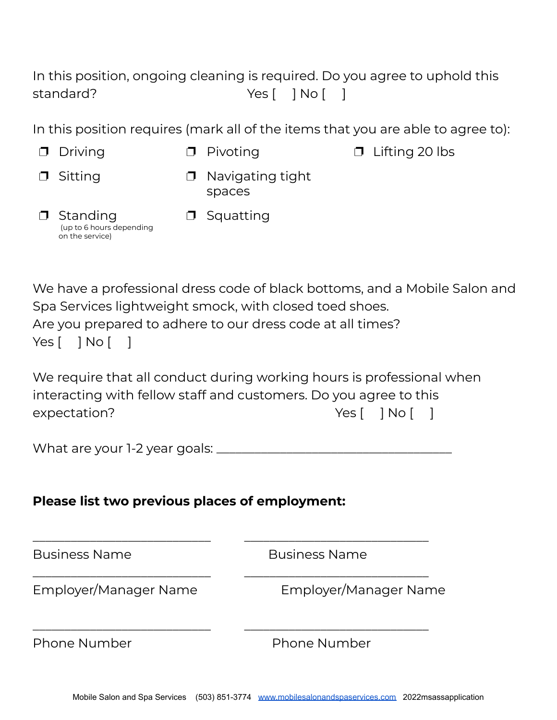In this position, ongoing cleaning is required. Do you agree to uphold this standard? Ves [ ] No [ ]

In this position requires (mark all of the items that you are able to agree to):

- 
- ❐ Driving ❐ Pivoting ❐ Lifting 20 lbs
- **□** Sitting □ Navigating tight spaces

❐ Squatting

❐ Standing (up to 6 hours depending on the service)

We have a professional dress code of black bottoms, and a Mobile Salon and Spa Services lightweight smock, with closed toed shoes. Are you prepared to adhere to our dress code at all times?  $Yes [ ] No [ ]$ 

We require that all conduct during working hours is professional when interacting with fellow staff and customers. Do you agree to this expectation? The Material Section of the Ves [ ] No [ ]

| What are your 1-2 year goals: |
|-------------------------------|
|-------------------------------|

\_\_\_\_\_\_\_\_\_\_\_\_\_\_\_\_\_\_\_\_\_\_\_\_\_\_\_\_ \_\_\_\_\_\_\_\_\_\_\_\_\_\_\_\_\_\_\_\_\_\_\_\_\_\_\_\_\_

\_\_\_\_\_\_\_\_\_\_\_\_\_\_\_\_\_\_\_\_\_\_\_\_\_\_\_\_ \_\_\_\_\_\_\_\_\_\_\_\_\_\_\_\_\_\_\_\_\_\_\_\_\_\_\_\_\_

\_\_\_\_\_\_\_\_\_\_\_\_\_\_\_\_\_\_\_\_\_\_\_\_\_\_\_\_ \_\_\_\_\_\_\_\_\_\_\_\_\_\_\_\_\_\_\_\_\_\_\_\_\_\_\_\_\_

## **Please list two previous places of employment:**

Business Name **Business Name** 

Employer/Manager Name Employer/Manager Name

Phone Number Phone Number